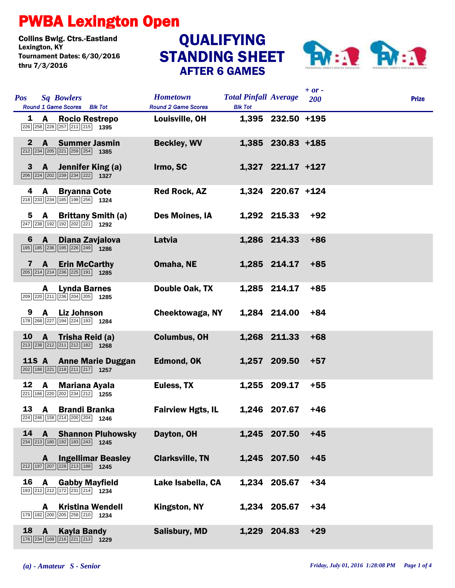## PWBA Lexington Open

Collins Bwlg. Ctrs.-Eastland Lexington, KY QUALIFYING Tournament Dates: 6/30/2016 thru 7/3/2016

## STANDING SHEET AFTER 6 GAMES



|              |                                                                                                                                         |                                               |                                                |                   | $+ or -$ |              |
|--------------|-----------------------------------------------------------------------------------------------------------------------------------------|-----------------------------------------------|------------------------------------------------|-------------------|----------|--------------|
| <b>Pos</b>   | <b>Sq Bowlers</b><br>Round 1 Game Scores Blk Tot                                                                                        | <b>Hometown</b><br><b>Round 2 Game Scores</b> | <b>Total Pinfall Average</b><br><b>Blk Tot</b> |                   | 200      | <b>Prize</b> |
|              | 1 A Rocio Restrepo<br>226 258 228 257 211 215 1395                                                                                      | Louisville, OH                                |                                                | 1,395 232.50 +195 |          |              |
| $\mathbf{2}$ | $\mathbf{A}$<br><b>Summer Jasmin</b><br>$\boxed{212}$ $\boxed{234}$ $\boxed{205}$ $\boxed{221}$ $\boxed{259}$ $\boxed{254}$ <b>1385</b> | <b>Beckley, WV</b>                            |                                                | 1,385 230.83 +185 |          |              |
|              | 3 A Jennifer King (a)<br>$\boxed{206}$ $\boxed{224}$ $\boxed{202}$ $\boxed{239}$ $\boxed{234}$ $\boxed{222}$ <b>1327</b>                | Irmo, SC                                      |                                                | 1,327 221.17 +127 |          |              |
| 4            | <b>Bryanna Cote</b><br>A<br>218 233 234 185 198 256 1324                                                                                | <b>Red Rock, AZ</b>                           |                                                | 1,324 220.67 +124 |          |              |
| 5            | A Brittany Smith (a)<br>$\boxed{247}$ $\boxed{238}$ 192 192 202 221 1292                                                                | <b>Des Moines, IA</b>                         |                                                | 1,292 215.33      | $+92$    |              |
| 6            | $\mathbf{A}$<br>Diana Zavjalova<br>195 185 236 195 226 249 1286                                                                         | Latvia                                        |                                                | 1,286 214.33      | $+86$    |              |
| 7            | <b>A</b> Erin McCarthy<br>$\boxed{205}$ $\boxed{214}$ $\boxed{214}$ $\boxed{236}$ $\boxed{225}$ $\boxed{191}$ <b>1285</b>               | Omaha, NE                                     |                                                | 1,285 214.17      | $+85$    |              |
|              | <b>Lynda Barnes</b><br>A<br>209 220 211 236 204 205 1285                                                                                | Double Oak, TX                                |                                                | 1,285 214.17      | $+85$    |              |
| 9            | A Liz Johnson<br>178 268 227 194 224 193 1284                                                                                           | Cheektowaga, NY                               |                                                | 1,284 214.00      | $+84$    |              |
| 10           | $\overline{A}$<br>Trisha Reid (a)<br>$\boxed{213}$ $\boxed{238}$ $\boxed{212}$ $\boxed{211}$ $\boxed{212}$ $\boxed{182}$ <b>1268</b>    | <b>Columbus, OH</b>                           |                                                | 1,268 211.33      | $+68$    |              |
| <b>11S A</b> | <b>Anne Marie Duggan</b><br>$\boxed{202}$ 188 $\boxed{221}$ $\boxed{218}$ $\boxed{211}$ $\boxed{217}$ 1257                              | <b>Edmond, OK</b>                             |                                                | 1,257 209.50      | $+57$    |              |
| 12           | $\mathbf{A}$<br>Mariana Ayala<br>221 166 220 202 234 212 1255                                                                           | Euless, TX                                    |                                                | 1,255 209.17      | $+55$    |              |
| 13           | A Brandi Branka<br>224 246 158 214 200 204 1246                                                                                         | <b>Fairview Hgts, IL</b>                      |                                                | 1,246 207.67      | $+46$    |              |
| 14           | A<br><b>Shannon Pluhowsky</b><br>234 213 180 192 183 243 1245                                                                           | Dayton, OH                                    |                                                | 1,245 207.50      | $+45$    |              |
|              | <b>Ingellimar Beasley</b><br>A<br>212 197 207 228 213 188 1245                                                                          | <b>Clarksville, TN</b>                        |                                                | 1,245 207.50      | $+45$    |              |
| 16           | <b>Gabby Mayfield</b><br>A<br>193 212 212 172 231 214 1234                                                                              | Lake Isabella, CA                             |                                                | 1,234 205.67      | $+34$    |              |
|              | <b>Kristina Wendell</b><br>A<br>$\boxed{179}$ $\boxed{182}$ $\boxed{200}$ $\boxed{205}$ $\boxed{258}$ $\boxed{210}$ <b>1234</b>         | Kingston, NY                                  |                                                | 1,234 205.67      | $+34$    |              |
| 18           | $\mathbf{A}$<br><b>Kayla Bandy</b><br>176 234 169 216 221 213 1229                                                                      | <b>Salisbury, MD</b>                          | 1,229                                          | 204.83            | $+29$    |              |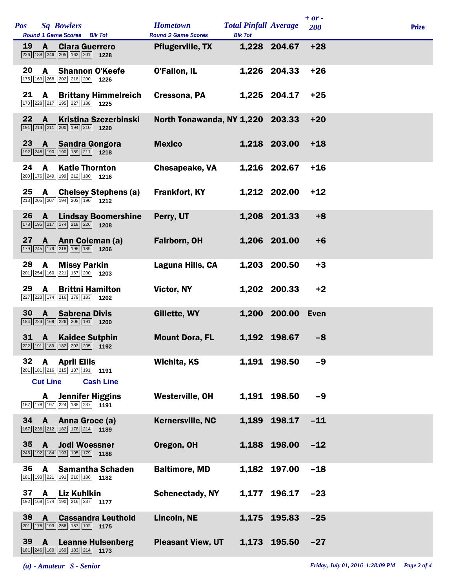| Pos |                      | <b>Sq Bowlers</b><br>Round 1 Game Scores Blk Tot                                                             | <b>Hometown</b><br><b>Round 2 Game Scores</b> | <b>Total Pinfall Average</b><br><b>Blk Tot</b> |                   | $+ or -$<br>200 | <b>Prize</b> |
|-----|----------------------|--------------------------------------------------------------------------------------------------------------|-----------------------------------------------|------------------------------------------------|-------------------|-----------------|--------------|
| 19  | A                    | <b>Clara Guerrero</b><br>226 188 246 205 162 201 1228                                                        | <b>Pflugerville, TX</b>                       |                                                | 1,228 204.67      | $+28$           |              |
| 20  | A                    | <b>Shannon O'Keefe</b><br>175 163 268 202 218 200 1226                                                       | O'Fallon, IL                                  |                                                | 1,226 204.33      | $+26$           |              |
| 21  | A                    | <b>Brittany Himmelreich</b><br>170 228 217 195 227 188 1225                                                  | Cressona, PA                                  |                                                | 1,225 204.17      | $+25$           |              |
| 22  | A                    | <b>Kristina Szczerbinski</b><br>191 214 211 200 194 210 1220                                                 | North Tonawanda, NY 1,220 203.33              |                                                |                   | $+20$           |              |
| 23  |                      | <b>A</b> Sandra Gongora<br>192 246 190 190 189 211 1218                                                      | <b>Mexico</b>                                 |                                                | 1,218 203.00      | $+18$           |              |
| 24  | A                    | <b>Katie Thornton</b><br>200 176 249 199 212 180 1216                                                        | <b>Chesapeake, VA</b>                         |                                                | 1,216 202.67      | $+16$           |              |
| 25  | $\mathbf{A}$         | <b>Chelsey Stephens (a)</b><br>213 205 207 194 203 190 1212                                                  | <b>Frankfort, KY</b>                          |                                                | 1,212 202.00      | $+12$           |              |
| 26  | A                    | <b>Lindsay Boomershine</b><br>178 195 217 174 218 226 1208                                                   | Perry, UT                                     |                                                | 1,208 201.33      | $+8$            |              |
| 27  |                      | A Ann Coleman (a)<br>179 245 179 218 196 189 1206                                                            | Fairborn, OH                                  |                                                | 1,206 201.00      | $+6$            |              |
| 28  | A                    | <b>Missy Parkin</b><br>$\boxed{201}\boxed{254}\boxed{160}\boxed{221}\boxed{167}\boxed{200}$ 1203             | Laguna Hills, CA                              | 1,203                                          | 200.50            | $+3$            |              |
| 29  | A                    | <b>Brittni Hamilton</b><br>227 223 174 216 179 183 1202                                                      | Victor, NY                                    |                                                | 1,202 200.33      | $+2$            |              |
| 30  | A                    | <b>Sabrena Divis</b><br>184 224 169 226 206 191 1200                                                         | Gillette, WY                                  |                                                | 1,200 200.00 Even |                 |              |
| 31  | $\mathbf{A}$         | <b>Kaidee Sutphin</b><br>222 191 189 182 203 205 1192                                                        | <b>Mount Dora, FL</b>                         |                                                | 1,192 198.67      | $-8$            |              |
| 32  | A                    | <b>April Ellis</b><br>201 181 216 215 187 191 191                                                            | Wichita, KS                                   |                                                | 1,191 198.50      | $-9$            |              |
|     | <b>Cut Line</b><br>A | <b>Cash Line</b><br><b>Jennifer Higgins</b><br>167 178 197 224 188 237 1191                                  | Westerville, OH                               |                                                | 1,191 198.50      | $-9$            |              |
| 34  |                      | A Anna Groce (a)<br>$\boxed{167}$ $\boxed{236}$ $\boxed{212}$ $\boxed{182}$ $\boxed{178}$ $\boxed{214}$ 1189 | <b>Kernersville, NC</b>                       | 1,189                                          | 198.17            | $-11$           |              |
| 35  | $\mathbf{A}$         | <b>Jodi Woessner</b><br>245 192 184 193 195 179 1188                                                         | Oregon, OH                                    |                                                | 1,188 198.00      | $-12$           |              |
| 36  | A                    | <b>Samantha Schaden</b><br>181 193 221 191 210 186 1182                                                      | <b>Baltimore, MD</b>                          | 1,182                                          | 197.00            | $-18$           |              |
| 37  | $\mathbf{A}$         | <b>Liz Kuhlkin</b><br>192 168 174 190 216 237 1177                                                           | <b>Schenectady, NY</b>                        | 1,177                                          | 196.17            | $-23$           |              |
| 38  | $\mathbf{A}$         | <b>Cassandra Leuthold</b><br>201 176 193 256 157 192 1175                                                    | Lincoln, NE                                   | 1,175                                          | 195.83            | $-25$           |              |
| 39  | A                    | <b>Leanne Hulsenberg</b><br>$\boxed{181}\boxed{246}\boxed{180}\boxed{169}\boxed{183}\boxed{214}$ 1173        | <b>Pleasant View, UT</b>                      | 1,173                                          | 195.50            | $-27$           |              |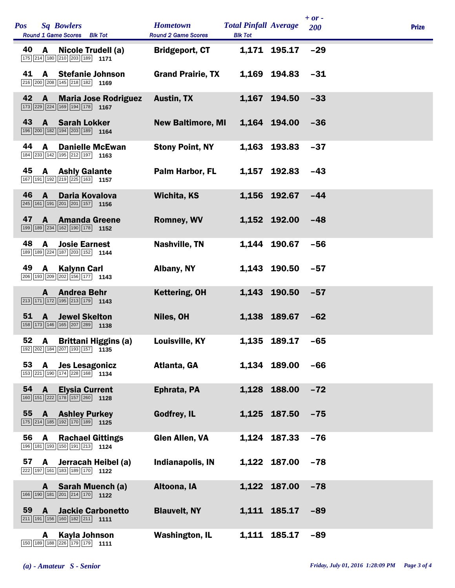| <b>Sq Bowlers</b><br><b>Pos</b><br>Round 1 Game Scores Blk Tot                                                                                 | <b>Hometown</b><br><b>Round 2 Game Scores</b> | <b>Total Pinfall Average</b><br><b>Blk Tot</b> |              | $+ or -$<br>200 | <b>Prize</b> |
|------------------------------------------------------------------------------------------------------------------------------------------------|-----------------------------------------------|------------------------------------------------|--------------|-----------------|--------------|
| 40<br>A Nicole Trudell (a)<br>175 214 180 210 203 189 1171                                                                                     | <b>Bridgeport, CT</b>                         |                                                | 1,171 195.17 | $-29$           |              |
| 41<br><b>A</b> Stefanie Johnson<br>$\boxed{216}$ $\boxed{200}$ $\boxed{208}$ $\boxed{145}$ $\boxed{218}$ $\boxed{182}$ <b>1169</b>             | <b>Grand Prairie, TX</b>                      |                                                | 1,169 194.83 | $-31$           |              |
| 42 A Maria Jose Rodriguez<br>$\boxed{173}$ $\boxed{229}$ $\boxed{224}$ $\boxed{169}$ $\boxed{194}$ $\boxed{178}$ 1167                          | <b>Austin, TX</b>                             |                                                | 1,167 194.50 | $-33$           |              |
| 43<br><b>Sarah Lokker</b><br>$\mathbf{A}$<br>196 200 182 194 203 189 164                                                                       | <b>New Baltimore, MI</b>                      |                                                | 1.164 194.00 | $-36$           |              |
| 44<br>$\mathbf{A}$<br><b>Danielle McEwan</b><br>184 233 142 195 212 197 1163                                                                   | <b>Stony Point, NY</b>                        |                                                | 1,163 193.83 | $-37$           |              |
| 45<br><b>A</b> Ashly Galante<br>$\boxed{167}$ $\boxed{191}$ $\boxed{192}$ $\boxed{219}$ $\boxed{225}$ $\boxed{163}$ <b>1157</b>                | Palm Harbor, FL                               |                                                | 1,157 192.83 | $-43$           |              |
| 46 A<br><b>Daria Kovalova</b><br>$\boxed{245}$ 161 191 201 201 157 1156                                                                        | <b>Wichita, KS</b>                            |                                                | 1,156 192.67 | $-44$           |              |
| 47<br><b>Amanda Greene</b><br>$\mathbf{A}$<br>199 189 234 162 190 178 1152                                                                     | <b>Romney, WV</b>                             |                                                | 1.152 192.00 | $-48$           |              |
| 48<br>A<br><b>Josie Earnest</b><br>189 189 224 187 203 152 1144                                                                                | <b>Nashville, TN</b>                          |                                                | 1,144 190.67 | $-56$           |              |
| 49<br>A Kalynn Carl<br>206 193 209 202 156 177 1143                                                                                            | Albany, NY                                    |                                                | 1,143 190.50 | $-57$           |              |
| <b>Andrea Behr</b><br>A<br>$\boxed{213}$ $\boxed{171}$ $\boxed{172}$ $\boxed{195}$ $\boxed{213}$ $\boxed{179}$ <b>1143</b>                     | <b>Kettering, OH</b>                          |                                                | 1,143 190.50 | $-57$           |              |
| 51<br><b>Jewel Skelton</b><br>A<br>158 173 146 165 207 289 1138                                                                                | Niles, OH                                     |                                                | 1,138 189.67 | $-62$           |              |
| A Brittani Higgins (a)<br>52<br>$\boxed{192}\boxed{202}\boxed{184}\boxed{207}\boxed{193}\boxed{157}$ 1135                                      | <b>Louisville, KY</b>                         |                                                | 1,135 189.17 | $-65$           |              |
| 53<br><b>Jes Lesagonicz</b><br>A<br>153 221 190 174 228 168 1134                                                                               | Atlanta, GA                                   |                                                | 1,134 189.00 | $-66$           |              |
| 54<br>$\mathbf{A}$<br><b>Elysia Current</b><br>$\boxed{160}$ $\boxed{151}$ $\boxed{222}$ $\boxed{178}$ $\boxed{157}$ $\boxed{260}$ <b>1128</b> | Ephrata, PA                                   |                                                | 1,128 188.00 | $-72$           |              |
| 55<br><b>Ashley Purkey</b><br>A<br>175 214 185 192 170 189 1125                                                                                | Godfrey, IL                                   |                                                | 1,125 187.50 | $-75$           |              |
| 56<br><b>Rachael Gittings</b><br>A<br>196 181 193 150 191 213 1124                                                                             | <b>Glen Allen, VA</b>                         |                                                | 1,124 187.33 | $-76$           |              |
| 57<br>A<br>Jerracah Heibel (a)<br>222 197 161 183 189 170 1122                                                                                 | Indianapolis, IN                              |                                                | 1,122 187.00 | $-78$           |              |
| Sarah Muench (a)<br>A<br>166 190 181 201 214 170 1122                                                                                          | Altoona, IA                                   |                                                | 1,122 187.00 | $-78$           |              |
| <b>Jackie Carbonetto</b><br>59<br>A<br>$\boxed{211}$ 191 156 160 182 211 1111                                                                  | <b>Blauvelt, NY</b>                           |                                                | 1,111 185.17 | $-89$           |              |
| Kayla Johnson<br>A<br>150 189 188 226 179 179 1111                                                                                             | <b>Washington, IL</b>                         |                                                | 1,111 185.17 | $-89$           |              |